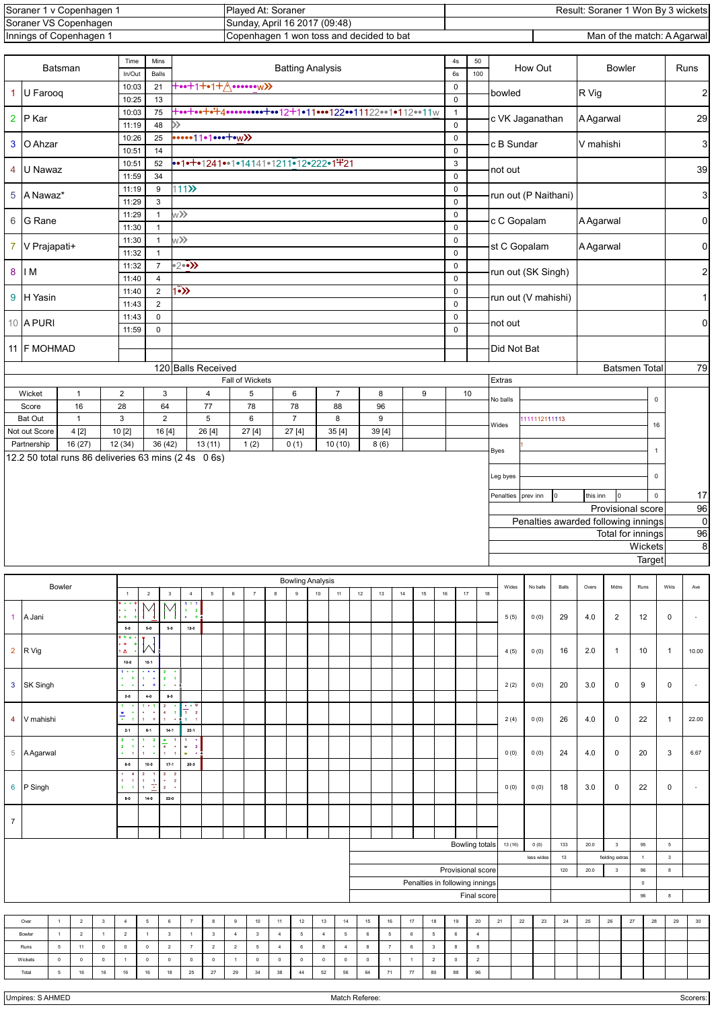| Soraner 1<br>∀ Copenhaαen | Plaved At: Soraner                          | Result: Soraner 1 Won By 3 wickets |
|---------------------------|---------------------------------------------|------------------------------------|
| Soraner VS Copenhagen     | Sunday, April 16 2017 (09:48)               |                                    |
| Innings of Copenhagen 1   | 1 won toss and decided to bat<br>Copenhagen | Man of the match: A Agarwall       |

| +••+1+•1+ <u>A</u> ••••••w>><br>21<br>$\pmb{0}$<br>10:03<br>1 U Farooq<br>bowled<br>13<br>$\mathsf 0$<br>10:25<br>+**+**+4************12+1*11***122**11122**1*112**11w<br>75<br>10:03<br>$\mathbf{1}$<br>2 P Kar<br>c VK Jaganathan<br>48<br>$\gg$<br>$\pmb{0}$<br>11:19<br>$\cdots$ 1   $\cdot$   $\cdots$ + $\cdots$ $\cdots$<br>25<br>$\pmb{0}$<br>10:26<br>3 O Ahzar<br>c B Sundar<br>14<br>$\pmb{0}$<br>10:51<br>52<br>••1•+•1241••1•14141•1211•12•222•1+21<br>$\ensuremath{\mathsf{3}}$<br>10:51<br>4 U Nawaz<br>not out<br>34<br>$\mathsf 0$<br>11:59<br>111<br>9<br>$\pmb{0}$<br>11:19<br>5 A Nawaz*<br>3<br>$\pmb{0}$<br>11:29<br>w <b>&gt;&gt;</b><br>$\pmb{0}$<br>11:29<br>$\mathbf{1}$<br>6 G Rane<br>c C Gopalam<br>$\pmb{0}$<br>11:30<br>$\mathbf{1}$<br>$\mathbf{1}$<br>w <b>&gt;&gt;</b><br>$\pmb{0}$<br>11:30<br>7 V Prajapati+<br>st C Gopalam<br>$\mathsf 0$<br>11:32<br>$\mathbf{1}$<br>$\rightarrow 2$<br>$\overline{7}$<br>11:32<br>$\pmb{0}$<br>8 IM<br>11:40<br>$\overline{4}$<br>$\pmb{0}$<br>$\overline{2}$<br>$1\overline{\bullet}$<br>11:40<br>$\mathbf 0$<br>9 H Yasin<br>$\overline{2}$<br>11:43<br>$\pmb{0}$<br>$\mathsf{O}$<br>$\mathbf 0$<br>11:43<br>10 A PURI<br>not out<br>$\mathsf 0$<br>11:59<br>$\pmb{0}$<br>11 F MOHMAD<br>Did Not Bat | R Vig                                         | <b>A</b> Agarwal<br>V mahishi                      |                            |                      |                | $\overline{\mathbf{c}}$<br>29<br>3<br>39 |  |  |  |  |  |
|--------------------------------------------------------------------------------------------------------------------------------------------------------------------------------------------------------------------------------------------------------------------------------------------------------------------------------------------------------------------------------------------------------------------------------------------------------------------------------------------------------------------------------------------------------------------------------------------------------------------------------------------------------------------------------------------------------------------------------------------------------------------------------------------------------------------------------------------------------------------------------------------------------------------------------------------------------------------------------------------------------------------------------------------------------------------------------------------------------------------------------------------------------------------------------------------------------------------------------------------------------------------------------|-----------------------------------------------|----------------------------------------------------|----------------------------|----------------------|----------------|------------------------------------------|--|--|--|--|--|
|                                                                                                                                                                                                                                                                                                                                                                                                                                                                                                                                                                                                                                                                                                                                                                                                                                                                                                                                                                                                                                                                                                                                                                                                                                                                                |                                               |                                                    |                            |                      |                |                                          |  |  |  |  |  |
|                                                                                                                                                                                                                                                                                                                                                                                                                                                                                                                                                                                                                                                                                                                                                                                                                                                                                                                                                                                                                                                                                                                                                                                                                                                                                |                                               |                                                    |                            |                      |                |                                          |  |  |  |  |  |
|                                                                                                                                                                                                                                                                                                                                                                                                                                                                                                                                                                                                                                                                                                                                                                                                                                                                                                                                                                                                                                                                                                                                                                                                                                                                                |                                               |                                                    |                            |                      |                |                                          |  |  |  |  |  |
|                                                                                                                                                                                                                                                                                                                                                                                                                                                                                                                                                                                                                                                                                                                                                                                                                                                                                                                                                                                                                                                                                                                                                                                                                                                                                |                                               |                                                    |                            |                      |                |                                          |  |  |  |  |  |
|                                                                                                                                                                                                                                                                                                                                                                                                                                                                                                                                                                                                                                                                                                                                                                                                                                                                                                                                                                                                                                                                                                                                                                                                                                                                                |                                               |                                                    |                            | run out (P Naithani) |                |                                          |  |  |  |  |  |
|                                                                                                                                                                                                                                                                                                                                                                                                                                                                                                                                                                                                                                                                                                                                                                                                                                                                                                                                                                                                                                                                                                                                                                                                                                                                                |                                               | A Agarwal                                          |                            |                      |                |                                          |  |  |  |  |  |
|                                                                                                                                                                                                                                                                                                                                                                                                                                                                                                                                                                                                                                                                                                                                                                                                                                                                                                                                                                                                                                                                                                                                                                                                                                                                                |                                               | <b>A</b> Agarwal                                   |                            |                      |                |                                          |  |  |  |  |  |
|                                                                                                                                                                                                                                                                                                                                                                                                                                                                                                                                                                                                                                                                                                                                                                                                                                                                                                                                                                                                                                                                                                                                                                                                                                                                                | run out (SK Singh)                            |                                                    |                            |                      |                |                                          |  |  |  |  |  |
|                                                                                                                                                                                                                                                                                                                                                                                                                                                                                                                                                                                                                                                                                                                                                                                                                                                                                                                                                                                                                                                                                                                                                                                                                                                                                | run out (V mahishi)                           |                                                    |                            |                      |                |                                          |  |  |  |  |  |
|                                                                                                                                                                                                                                                                                                                                                                                                                                                                                                                                                                                                                                                                                                                                                                                                                                                                                                                                                                                                                                                                                                                                                                                                                                                                                |                                               |                                                    |                            |                      |                | $\mathsf{O}\xspace$                      |  |  |  |  |  |
|                                                                                                                                                                                                                                                                                                                                                                                                                                                                                                                                                                                                                                                                                                                                                                                                                                                                                                                                                                                                                                                                                                                                                                                                                                                                                |                                               |                                                    |                            |                      |                |                                          |  |  |  |  |  |
| 120 Balls Received<br>Fall of Wickets<br>Extras                                                                                                                                                                                                                                                                                                                                                                                                                                                                                                                                                                                                                                                                                                                                                                                                                                                                                                                                                                                                                                                                                                                                                                                                                                |                                               |                                                    |                            | <b>Batsmen Total</b> |                | 79                                       |  |  |  |  |  |
| $\overline{2}$<br>3<br>5<br>$\overline{7}$<br>9<br>10<br>Wicket<br>$\overline{4}$<br>6<br>8<br>$\mathbf{1}$<br>No balls                                                                                                                                                                                                                                                                                                                                                                                                                                                                                                                                                                                                                                                                                                                                                                                                                                                                                                                                                                                                                                                                                                                                                        |                                               |                                                    |                            | $\mathsf 0$          |                |                                          |  |  |  |  |  |
| 16<br>64<br>28<br>77<br>78<br>78<br>88<br>96<br>Score<br><b>Bat Out</b><br>3<br>$\overline{2}$<br>5<br>6<br>$\overline{7}$<br>8<br>9<br>111112111113<br>$\mathbf{1}$<br>Wides                                                                                                                                                                                                                                                                                                                                                                                                                                                                                                                                                                                                                                                                                                                                                                                                                                                                                                                                                                                                                                                                                                  |                                               |                                                    |                            | 16                   |                |                                          |  |  |  |  |  |
| 39[4]<br>4[2]<br>10 [2]<br>16 [4]<br>26 [4]<br>27[4]<br>27[4]<br>35[4]<br>Not out Score<br>16(27)<br>12 (34)<br>36(42)<br>13(11)<br>1(2)<br>0(1)<br>10(10)<br>8(6)<br>Partnership                                                                                                                                                                                                                                                                                                                                                                                                                                                                                                                                                                                                                                                                                                                                                                                                                                                                                                                                                                                                                                                                                              |                                               |                                                    |                            |                      |                |                                          |  |  |  |  |  |
| Byes<br>12.2 50 total runs 86 deliveries 63 mins (2 4s 0 6s)                                                                                                                                                                                                                                                                                                                                                                                                                                                                                                                                                                                                                                                                                                                                                                                                                                                                                                                                                                                                                                                                                                                                                                                                                   |                                               |                                                    |                            | $\overline{1}$       |                |                                          |  |  |  |  |  |
| Leg byes                                                                                                                                                                                                                                                                                                                                                                                                                                                                                                                                                                                                                                                                                                                                                                                                                                                                                                                                                                                                                                                                                                                                                                                                                                                                       |                                               |                                                    |                            | $\mathsf 0$          |                |                                          |  |  |  |  |  |
| prev inn<br>Penalties<br>0                                                                                                                                                                                                                                                                                                                                                                                                                                                                                                                                                                                                                                                                                                                                                                                                                                                                                                                                                                                                                                                                                                                                                                                                                                                     |                                               | this inn                                           | 0                          | $\mathsf 0$          |                | 17                                       |  |  |  |  |  |
| Penalties awarded following innings                                                                                                                                                                                                                                                                                                                                                                                                                                                                                                                                                                                                                                                                                                                                                                                                                                                                                                                                                                                                                                                                                                                                                                                                                                            |                                               | Provisional score                                  |                            |                      |                | 96<br>$\overline{0}$                     |  |  |  |  |  |
|                                                                                                                                                                                                                                                                                                                                                                                                                                                                                                                                                                                                                                                                                                                                                                                                                                                                                                                                                                                                                                                                                                                                                                                                                                                                                |                                               |                                                    |                            | Total for innings    |                | 96                                       |  |  |  |  |  |
|                                                                                                                                                                                                                                                                                                                                                                                                                                                                                                                                                                                                                                                                                                                                                                                                                                                                                                                                                                                                                                                                                                                                                                                                                                                                                |                                               |                                                    |                            | Wickets<br>Target    |                | $\bf8$                                   |  |  |  |  |  |
| <b>Bowling Analysis</b>                                                                                                                                                                                                                                                                                                                                                                                                                                                                                                                                                                                                                                                                                                                                                                                                                                                                                                                                                                                                                                                                                                                                                                                                                                                        |                                               |                                                    |                            |                      |                |                                          |  |  |  |  |  |
| No balls<br>Bowler<br>Wides<br>$\bf 6$<br>$10$<br>$12\,$<br>$13\,$<br>$14$<br>$15\,$<br>$16\,$<br>$18\,$<br>$\sqrt{2}$<br>$\mathbf{3}$<br>$\overline{4}$<br>$\mathbf 5$<br>$\overline{7}$<br>$^{\rm 8}$<br>$\,9$<br>11<br>17<br>$\overline{1}$<br>111<br>$\bullet$                                                                                                                                                                                                                                                                                                                                                                                                                                                                                                                                                                                                                                                                                                                                                                                                                                                                                                                                                                                                             | Balls                                         | Overs<br>Mdns                                      |                            | Runs                 | Wkts           | Ave                                      |  |  |  |  |  |
| $\,$ 2 $\,$<br>$\mathbf{1}$<br>1 A Jani<br>$\ddot{}$<br>5(5)<br>0(0)<br>$8-0$<br>$5-0$<br>12.0<br>6-0                                                                                                                                                                                                                                                                                                                                                                                                                                                                                                                                                                                                                                                                                                                                                                                                                                                                                                                                                                                                                                                                                                                                                                          | 29                                            | 4.0<br>$\overline{2}$                              |                            | 12                   | $\pmb{0}$      | $\overline{\phantom{a}}$                 |  |  |  |  |  |
| $+$<br>$\ddot{}$<br>∽<br>2 R Vig<br>Δ<br>4(5)<br>0(0)                                                                                                                                                                                                                                                                                                                                                                                                                                                                                                                                                                                                                                                                                                                                                                                                                                                                                                                                                                                                                                                                                                                                                                                                                          | 16                                            | 2.0<br>$\overline{1}$                              |                            | 10                   | $\overline{1}$ | 10.00                                    |  |  |  |  |  |
| $10-0$<br>10-1<br>.<br>$\overline{\mathbf{z}}$<br>$\bullet$<br>$1 - 1$<br>$2 - 1$<br>٠                                                                                                                                                                                                                                                                                                                                                                                                                                                                                                                                                                                                                                                                                                                                                                                                                                                                                                                                                                                                                                                                                                                                                                                         |                                               |                                                    |                            |                      |                |                                          |  |  |  |  |  |
| 3<br>SK Singh<br>2(2)<br>0(0)<br>$\bullet$<br>$\bullet$<br>$\bullet$<br>$\bullet$ .<br><br><br><br><br><br><br><br><br><br><br><br><br><br>$2-0$<br>$4-0$<br>$9-0$<br>$\mathbf{1}$<br>$1 + 1$                                                                                                                                                                                                                                                                                                                                                                                                                                                                                                                                                                                                                                                                                                                                                                                                                                                                                                                                                                                                                                                                                  | 20                                            | 3.0<br>0                                           |                            | 9                    | $\pmb{0}$      | $\overline{\phantom{a}}$                 |  |  |  |  |  |
| $\frac{1}{1}$<br>$4 - 1$<br>$\frac{w}{\tau}$<br>V mahishi<br>0(0)<br>4<br>$\pmb{\mathsf{1}}$<br>$+$<br>2(4)<br>$\mathbf{1}$<br>$1 - 1$<br>$1 - 1$<br>22-1<br>$2 - 1$<br>$0 - 1$<br>$14 - 1$                                                                                                                                                                                                                                                                                                                                                                                                                                                                                                                                                                                                                                                                                                                                                                                                                                                                                                                                                                                                                                                                                    | 26                                            | 4.0<br>0                                           |                            | 22                   | $\mathbf{1}$   | 22.00                                    |  |  |  |  |  |
| $\overline{\mathbf{2}}$<br>$\overline{\mathbf{2}}$<br>≝<br>$\overline{\mathbf{2}}$<br>$\overline{4}$<br>$\bullet$<br>$\bullet$<br>$w = 2$<br>1<br>$\bullet$<br>5 A Agarwal<br>0(0)<br>0(0)<br>$\bullet$<br>w<br>$\overline{1}$<br>$\overline{1}$<br>. .<br>$1 - 1$                                                                                                                                                                                                                                                                                                                                                                                                                                                                                                                                                                                                                                                                                                                                                                                                                                                                                                                                                                                                             | 24                                            | 4.0<br>0                                           |                            | 20                   | 3              | 6.67                                     |  |  |  |  |  |
| 20-3<br>$6-0$<br>10-0<br>17-1<br>$\mathbf{2}$<br>$\overline{\mathbf{2}}$<br>т.<br>$\bullet$ – $-2$<br>1<br>1<br>$\frac{1}{2}$<br>6<br>P Singh<br>0(0)<br>0(0)<br>4.<br>$2 - 1$<br>$\blacksquare$<br>$\mathbf{1}$                                                                                                                                                                                                                                                                                                                                                                                                                                                                                                                                                                                                                                                                                                                                                                                                                                                                                                                                                                                                                                                               | 18                                            | 3.0<br>$\mathbf 0$                                 |                            | 22                   | $\mathsf 0$    | $\overline{\phantom{a}}$                 |  |  |  |  |  |
| $8-0$<br>14-0<br>22-0                                                                                                                                                                                                                                                                                                                                                                                                                                                                                                                                                                                                                                                                                                                                                                                                                                                                                                                                                                                                                                                                                                                                                                                                                                                          |                                               |                                                    |                            |                      |                |                                          |  |  |  |  |  |
| $\overline{7}$                                                                                                                                                                                                                                                                                                                                                                                                                                                                                                                                                                                                                                                                                                                                                                                                                                                                                                                                                                                                                                                                                                                                                                                                                                                                 |                                               |                                                    |                            | 95                   |                |                                          |  |  |  |  |  |
| <b>Bowling totals</b><br>13 (16)<br>0(0)<br>less wides                                                                                                                                                                                                                                                                                                                                                                                                                                                                                                                                                                                                                                                                                                                                                                                                                                                                                                                                                                                                                                                                                                                                                                                                                         | 133<br>13                                     | 20.0<br>$\overline{\mathbf{3}}$<br>fielding extras | $\,$ 5 $\,$<br>$\mathsf 3$ |                      |                |                                          |  |  |  |  |  |
| Provisional score                                                                                                                                                                                                                                                                                                                                                                                                                                                                                                                                                                                                                                                                                                                                                                                                                                                                                                                                                                                                                                                                                                                                                                                                                                                              | $\overline{1}$<br>$_{3}$<br>120<br>20.0<br>96 |                                                    |                            |                      |                | $^{\rm 8}$                               |  |  |  |  |  |
|                                                                                                                                                                                                                                                                                                                                                                                                                                                                                                                                                                                                                                                                                                                                                                                                                                                                                                                                                                                                                                                                                                                                                                                                                                                                                |                                               |                                                    |                            | $\mathbb O$<br>96    | $^{\rm 8}$     |                                          |  |  |  |  |  |
| Penalties in following innings<br>Final score                                                                                                                                                                                                                                                                                                                                                                                                                                                                                                                                                                                                                                                                                                                                                                                                                                                                                                                                                                                                                                                                                                                                                                                                                                  |                                               |                                                    |                            |                      |                |                                          |  |  |  |  |  |
|                                                                                                                                                                                                                                                                                                                                                                                                                                                                                                                                                                                                                                                                                                                                                                                                                                                                                                                                                                                                                                                                                                                                                                                                                                                                                | 24<br>$25\,$                                  | ${\bf 26}$                                         | 27                         | ${\bf 28}$           | 29             | $30\,$                                   |  |  |  |  |  |
| $\overline{2}$<br>$_{3}$<br>$\ensuremath{\mathsf{4}}$<br>${\bf 5}$<br>$\,6\,$<br>$\scriptstyle{7}$<br>$\bf8$<br>$\,9$<br>$10\,$<br>$11\,$<br>$12\,$<br>$13$<br>$14$<br>15<br>$16\,$<br>$17$<br>18<br>19<br>$20\,$<br>21<br>22<br>23<br>Over<br>$\mathbf{1}$<br>$\sqrt{2}$<br>$\mathbf 3$<br>$\mathbf{1}$<br>$\sqrt{2}$<br>$_{3}$<br>$\overline{4}$<br>$\sqrt{4}$<br>$\mathbf 5$<br>$\,$ 5 $\,$<br>$\,6\,$<br>$\sqrt{4}$<br>$\mathbf{1}$<br>$\overline{\mathbf{3}}$<br>$\overline{4}$<br>$\bf 6$<br>$\sqrt{5}$<br>$\,$ 5 $\,$<br>$\,6\,$<br>$\overline{1}$<br>Bowler<br>$\overline{1}$                                                                                                                                                                                                                                                                                                                                                                                                                                                                                                                                                                                                                                                                                          |                                               |                                                    |                            |                      |                |                                          |  |  |  |  |  |
| $11\,$<br>$\,0\,$<br>$\mathbf 0$<br>$\,$ 0 $\,$<br>$\overline{2}$<br>$\scriptstyle{7}$<br>$\overline{2}$<br>$\overline{2}$<br>$\overline{5}$<br>$\overline{4}$<br>$\,6\,$<br>$\overline{4}$<br>$\scriptstyle{7}$<br>$\,6\,$<br>$\mathsf 3$<br>8<br>5<br>8<br>8<br>8<br>Runs<br>$\mathbf 0$<br>$\mathbf 0$<br>$\mathbf 0$<br>$\mathbf 0$<br>$\mathbf 0$<br>$\sqrt{2}$<br>$\overline{a}$<br>$\mathsf{O}$<br>$\mathbf 0$<br>$\mathbf 0$<br>$\overline{1}$<br>$\mathbb O$<br>$\mathbf 0$<br>$\mathbb O$<br>$\mathbb O$<br>$\mathbf 0$<br>$\overline{1}$<br>$\mathbf{1}$<br>$\,0\,$<br>Wickets<br>$\overline{1}$                                                                                                                                                                                                                                                                                                                                                                                                                                                                                                                                                                                                                                                                    |                                               |                                                    |                            |                      |                |                                          |  |  |  |  |  |